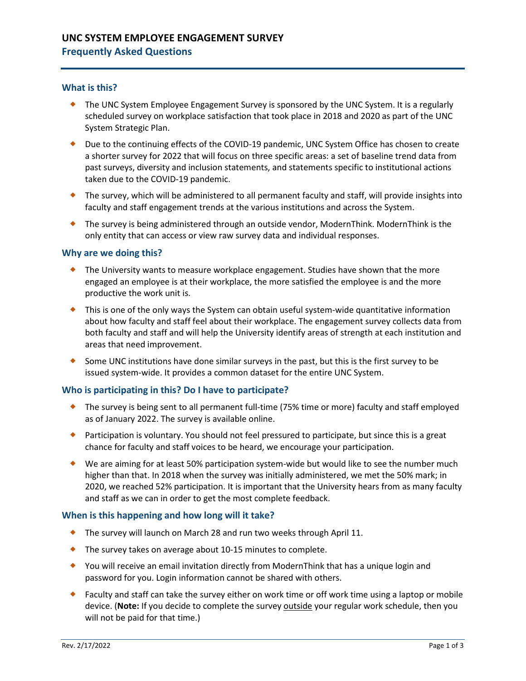# **UNC SYSTEM EMPLOYEE ENGAGEMENT SURVEY**

## **Frequently Asked Questions**

### **What is this?**

- The UNC System Employee Engagement Survey is sponsored by the UNC System. It is a regularly scheduled survey on workplace satisfaction that took place in 2018 and 2020 as part of the UNC System Strategic Plan.
- Due to the continuing effects of the COVID-19 pandemic, UNC System Office has chosen to create a shorter survey for 2022 that will focus on three specific areas: a set of baseline trend data from past surveys, diversity and inclusion statements, and statements specific to institutional actions taken due to the COVID-19 pandemic.
- The survey, which will be administered to all permanent faculty and staff, will provide insights into faculty and staff engagement trends at the various institutions and across the System.
- ◆ The survey is being administered through an outside vendor, ModernThink. ModernThink is the only entity that can access or view raw survey data and individual responses.

#### **Why are we doing this?**

- ◆ The University wants to measure workplace engagement. Studies have shown that the more engaged an employee is at their workplace, the more satisfied the employee is and the more productive the work unit is.
- This is one of the only ways the System can obtain useful system-wide quantitative information about how faculty and staff feel about their workplace. The engagement survey collects data from both faculty and staff and will help the University identify areas of strength at each institution and areas that need improvement.
- Some UNC institutions have done similar surveys in the past, but this is the first survey to be issued system-wide. It provides a common dataset for the entire UNC System.

#### **Who is participating in this? Do I have to participate?**

- The survey is being sent to all permanent full-time (75% time or more) faculty and staff employed as of January 2022. The survey is available online.
- ◆ Participation is voluntary. You should not feel pressured to participate, but since this is a great chance for faculty and staff voices to be heard, we encourage your participation.
- We are aiming for at least 50% participation system-wide but would like to see the number much higher than that. In 2018 when the survey was initially administered, we met the 50% mark; in 2020, we reached 52% participation. It is important that the University hears from as many faculty and staff as we can in order to get the most complete feedback.

#### **When is this happening and how long will it take?**

- ◆ The survey will launch on March 28 and run two weeks through April 11.
- ◆ The survey takes on average about 10-15 minutes to complete.
- You will receive an email invitation directly from ModernThink that has a unique login and password for you. Login information cannot be shared with others.
- ◆ Faculty and staff can take the survey either on work time or off work time using a laptop or mobile device. (**Note:** If you decide to complete the survey outside your regular work schedule, then you will not be paid for that time.)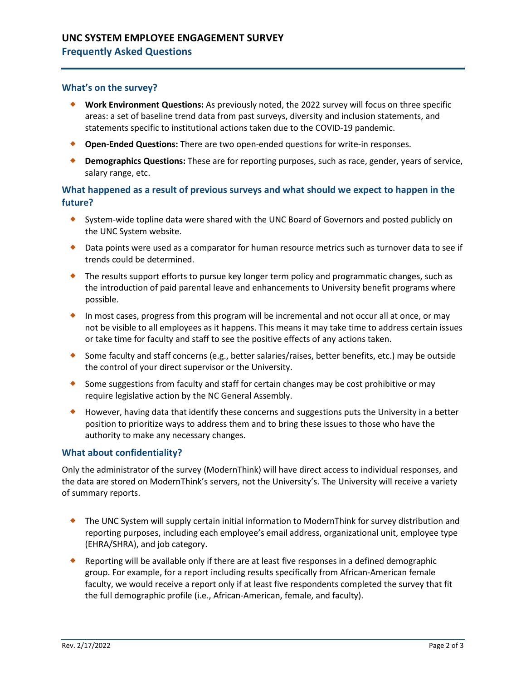# **UNC SYSTEM EMPLOYEE ENGAGEMENT SURVEY**

# **Frequently Asked Questions**

### **What's on the survey?**

- **Work Environment Questions:** As previously noted, the 2022 survey will focus on three specific areas: a set of baseline trend data from past surveys, diversity and inclusion statements, and statements specific to institutional actions taken due to the COVID-19 pandemic.
- **Open-Ended Questions:** There are two open-ended questions for write-in responses.
- **Demographics Questions:** These are for reporting purposes, such as race, gender, years of service, salary range, etc.

### **What happened as a result of previous surveys and what should we expect to happen in the future?**

- System-wide topline data were shared with the UNC Board of Governors and posted publicly on the UNC System website.
- Data points were used as a comparator for human resource metrics such as turnover data to see if trends could be determined.
- The results support efforts to pursue key longer term policy and programmatic changes, such as the introduction of paid parental leave and enhancements to University benefit programs where possible.
- In most cases, progress from this program will be incremental and not occur all at once, or may not be visible to all employees as it happens. This means it may take time to address certain issues or take time for faculty and staff to see the positive effects of any actions taken.
- Some faculty and staff concerns (e.g., better salaries/raises, better benefits, etc.) may be outside the control of your direct supervisor or the University.
- Some suggestions from faculty and staff for certain changes may be cost prohibitive or may require legislative action by the NC General Assembly.
- ◆ However, having data that identify these concerns and suggestions puts the University in a better position to prioritize ways to address them and to bring these issues to those who have the authority to make any necessary changes.

#### **What about confidentiality?**

Only the administrator of the survey (ModernThink) will have direct access to individual responses, and the data are stored on ModernThink's servers, not the University's. The University will receive a variety of summary reports.

- ◆ The UNC System will supply certain initial information to ModernThink for survey distribution and reporting purposes, including each employee's email address, organizational unit, employee type (EHRA/SHRA), and job category.
- Reporting will be available only if there are at least five responses in a defined demographic group. For example, for a report including results specifically from African-American female faculty, we would receive a report only if at least five respondents completed the survey that fit the full demographic profile (i.e., African-American, female, and faculty).